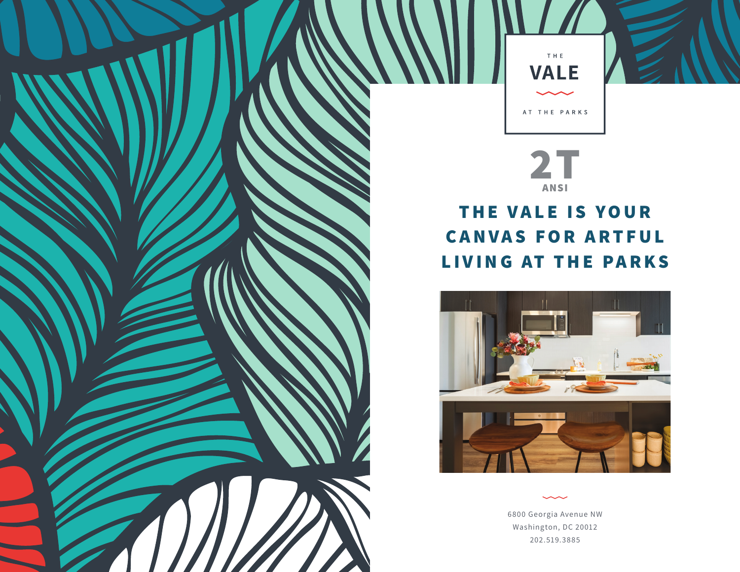

## **2T ANSI**

## **THE VALE IS YOUR CANVAS FOR ARTFUL LIVING AT THE PARKS**



6800 Georgia Avenue NW Washington, DC 20012 202.519.3885